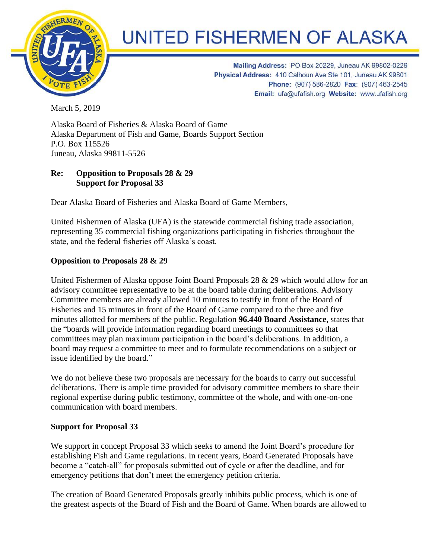

## **UNITED FISHERMEN OF ALASKA**

Mailing Address: PO Box 20229, Juneau AK 99802-0229 Physical Address: 410 Calhoun Ave Ste 101, Juneau AK 99801 Phone: (907) 586-2820 Fax: (907) 463-2545 Email: ufa@ufafish.org Website: www.ufafish.org

March 5, 2019

Alaska Board of Fisheries & Alaska Board of Game Alaska Department of Fish and Game, Boards Support Section P.O. Box 115526 Juneau, Alaska 99811-5526

## **Re: Opposition to Proposals 28 & 29 Support for Proposal 33**

Dear Alaska Board of Fisheries and Alaska Board of Game Members,

United Fishermen of Alaska (UFA) is the statewide commercial fishing trade association, representing 35 commercial fishing organizations participating in fisheries throughout the state, and the federal fisheries off Alaska's coast.

## **Opposition to Proposals 28 & 29**

United Fishermen of Alaska oppose Joint Board Proposals 28 & 29 which would allow for an advisory committee representative to be at the board table during deliberations. Advisory Committee members are already allowed 10 minutes to testify in front of the Board of Fisheries and 15 minutes in front of the Board of Game compared to the three and five minutes allotted for members of the public. Regulation **96.440 Board Assistance**, states that the "boards will provide information regarding board meetings to committees so that committees may plan maximum participation in the board's deliberations. In addition, a board may request a committee to meet and to formulate recommendations on a subject or issue identified by the board."

We do not believe these two proposals are necessary for the boards to carry out successful deliberations. There is ample time provided for advisory committee members to share their regional expertise during public testimony, committee of the whole, and with one-on-one communication with board members.

## **Support for Proposal 33**

We support in concept Proposal 33 which seeks to amend the Joint Board's procedure for establishing Fish and Game regulations. In recent years, Board Generated Proposals have become a "catch-all" for proposals submitted out of cycle or after the deadline, and for emergency petitions that don't meet the emergency petition criteria.

The creation of Board Generated Proposals greatly inhibits public process, which is one of the greatest aspects of the Board of Fish and the Board of Game. When boards are allowed to